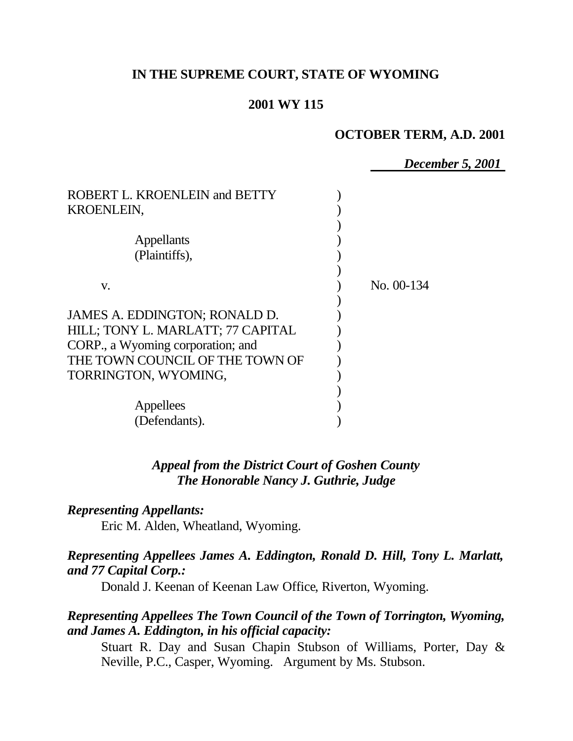# **IN THE SUPREME COURT, STATE OF WYOMING**

# **2001 WY 115**

### **OCTOBER TERM, A.D. 2001**

*December 5, 2001*

| ROBERT L. KROENLEIN and BETTY<br><b>KROENLEIN,</b>                                                                                                                 |              |
|--------------------------------------------------------------------------------------------------------------------------------------------------------------------|--------------|
| Appellants<br>(Plaintiffs),                                                                                                                                        |              |
| V.                                                                                                                                                                 | No. $00-134$ |
| JAMES A. EDDINGTON; RONALD D.<br>HILL; TONY L. MARLATT; 77 CAPITAL<br>CORP., a Wyoming corporation; and<br>THE TOWN COUNCIL OF THE TOWN OF<br>TORRINGTON, WYOMING, |              |
| Appellees<br>(Defendants).                                                                                                                                         |              |

*Appeal from the District Court of Goshen County The Honorable Nancy J. Guthrie, Judge* 

## *Representing Appellants:*

Eric M. Alden, Wheatland, Wyoming.

# *Representing Appellees James A. Eddington, Ronald D. Hill, Tony L. Marlatt, and 77 Capital Corp.:*

Donald J. Keenan of Keenan Law Office, Riverton, Wyoming.

# *Representing Appellees The Town Council of the Town of Torrington, Wyoming, and James A. Eddington, in his official capacity:*

Stuart R. Day and Susan Chapin Stubson of Williams, Porter, Day & Neville, P.C., Casper, Wyoming. Argument by Ms. Stubson.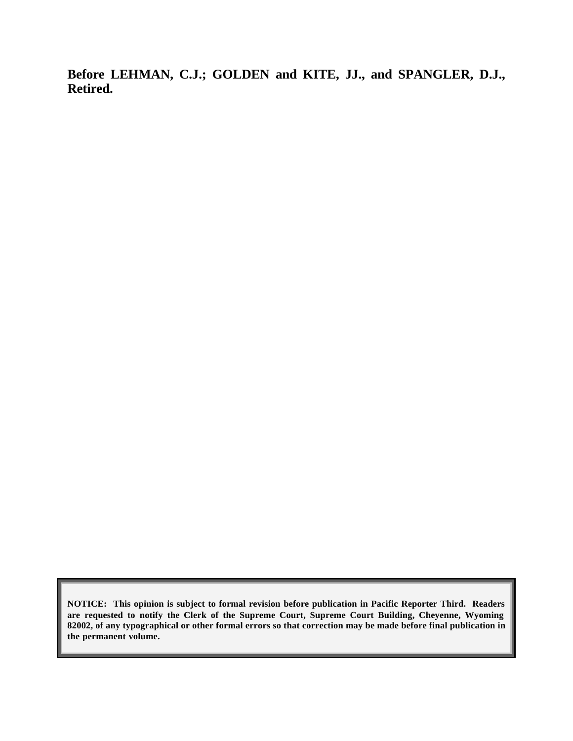**Before LEHMAN, C.J.; GOLDEN and KITE, JJ., and SPANGLER, D.J., Retired.**

**NOTICE: This opinion is subject to formal revision before publication in Pacific Reporter Third. Readers are requested to notify the Clerk of the Supreme Court, Supreme Court Building, Cheyenne, Wyoming 82002, of any typographical or other formal errors so that correction may be made before final publication in the permanent volume.**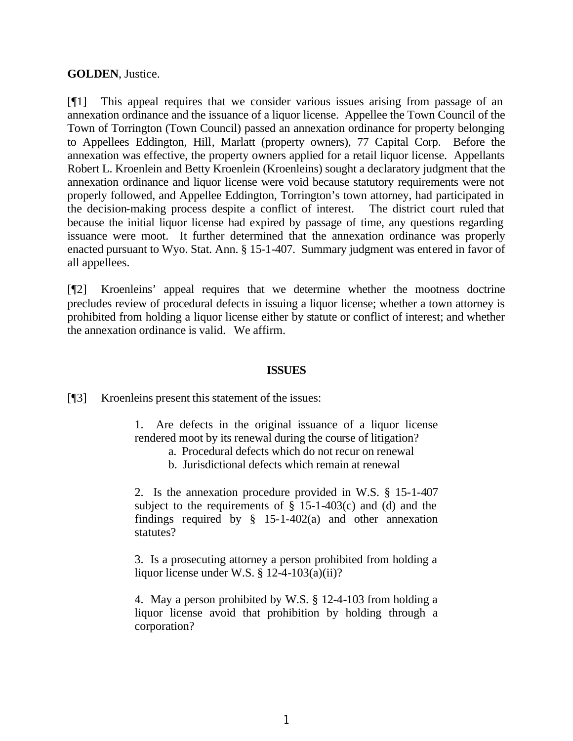### **GOLDEN**, Justice.

[¶1] This appeal requires that we consider various issues arising from passage of an annexation ordinance and the issuance of a liquor license. Appellee the Town Council of the Town of Torrington (Town Council) passed an annexation ordinance for property belonging to Appellees Eddington, Hill, Marlatt (property owners), 77 Capital Corp. Before the annexation was effective, the property owners applied for a retail liquor license. Appellants Robert L. Kroenlein and Betty Kroenlein (Kroenleins) sought a declaratory judgment that the annexation ordinance and liquor license were void because statutory requirements were not properly followed, and Appellee Eddington, Torrington's town attorney, had participated in the decision-making process despite a conflict of interest. The district court ruled that because the initial liquor license had expired by passage of time, any questions regarding issuance were moot. It further determined that the annexation ordinance was properly enacted pursuant to Wyo. Stat. Ann. § 15-1-407. Summary judgment was entered in favor of all appellees.

[¶2] Kroenleins' appeal requires that we determine whether the mootness doctrine precludes review of procedural defects in issuing a liquor license; whether a town attorney is prohibited from holding a liquor license either by statute or conflict of interest; and whether the annexation ordinance is valid. We affirm.

### **ISSUES**

[¶3] Kroenleins present this statement of the issues:

1. Are defects in the original issuance of a liquor license rendered moot by its renewal during the course of litigation?

- a. Procedural defects which do not recur on renewal
- b. Jurisdictional defects which remain at renewal

2. Is the annexation procedure provided in W.S. § 15-1-407 subject to the requirements of  $\S$  15-1-403(c) and (d) and the findings required by  $\S$  15-1-402(a) and other annexation statutes?

3. Is a prosecuting attorney a person prohibited from holding a liquor license under W.S. § 12-4-103(a)(ii)?

4. May a person prohibited by W.S. § 12-4-103 from holding a liquor license avoid that prohibition by holding through a corporation?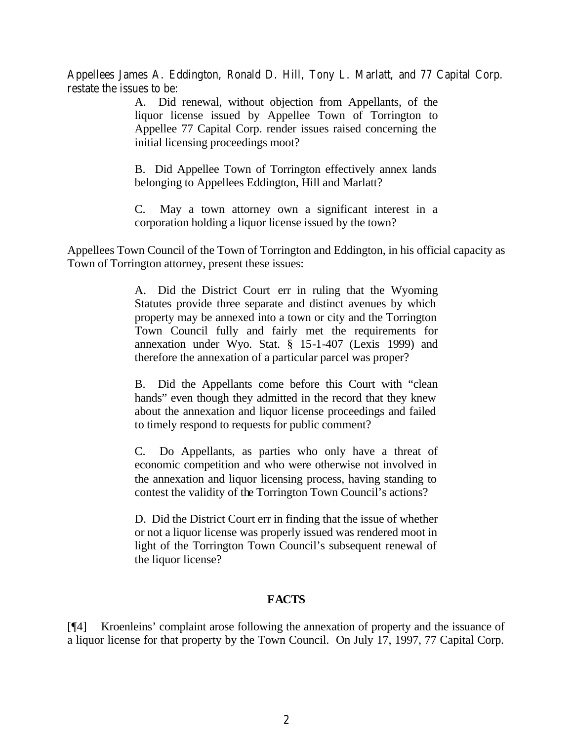Appellees James A. Eddington, Ronald D. Hill, Tony L. Marlatt, and 77 Capital Corp. restate the issues to be:

> A. Did renewal, without objection from Appellants, of the liquor license issued by Appellee Town of Torrington to Appellee 77 Capital Corp. render issues raised concerning the initial licensing proceedings moot?

> B. Did Appellee Town of Torrington effectively annex lands belonging to Appellees Eddington, Hill and Marlatt?

> C. May a town attorney own a significant interest in a corporation holding a liquor license issued by the town?

Appellees Town Council of the Town of Torrington and Eddington, in his official capacity as Town of Torrington attorney, present these issues:

> A. Did the District Court err in ruling that the Wyoming Statutes provide three separate and distinct avenues by which property may be annexed into a town or city and the Torrington Town Council fully and fairly met the requirements for annexation under Wyo. Stat. § 15-1-407 (Lexis 1999) and therefore the annexation of a particular parcel was proper?

> B. Did the Appellants come before this Court with "clean hands" even though they admitted in the record that they knew about the annexation and liquor license proceedings and failed to timely respond to requests for public comment?

> C. Do Appellants, as parties who only have a threat of economic competition and who were otherwise not involved in the annexation and liquor licensing process, having standing to contest the validity of the Torrington Town Council's actions?

> D. Did the District Court err in finding that the issue of whether or not a liquor license was properly issued was rendered moot in light of the Torrington Town Council's subsequent renewal of the liquor license?

## **FACTS**

[¶4] Kroenleins' complaint arose following the annexation of property and the issuance of a liquor license for that property by the Town Council. On July 17, 1997, 77 Capital Corp.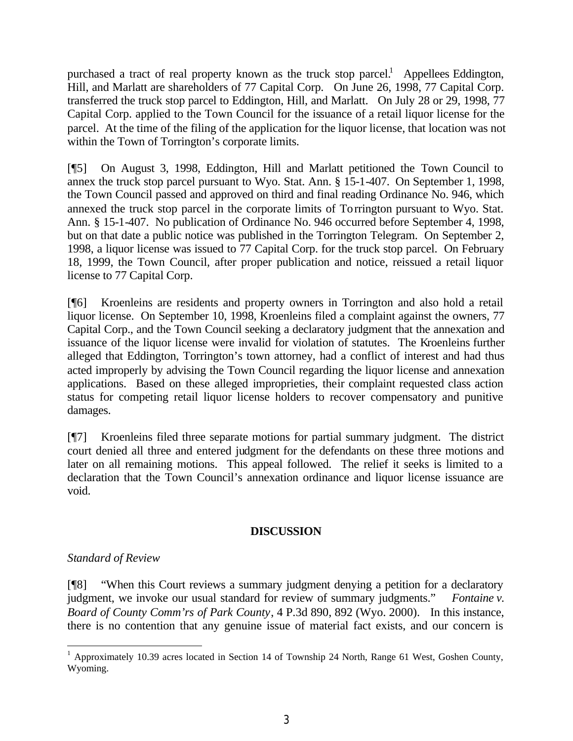purchased a tract of real property known as the truck stop parcel.<sup>1</sup> Appellees Eddington, Hill, and Marlatt are shareholders of 77 Capital Corp. On June 26, 1998, 77 Capital Corp. transferred the truck stop parcel to Eddington, Hill, and Marlatt. On July 28 or 29, 1998, 77 Capital Corp. applied to the Town Council for the issuance of a retail liquor license for the parcel. At the time of the filing of the application for the liquor license, that location was not within the Town of Torrington's corporate limits.

[¶5] On August 3, 1998, Eddington, Hill and Marlatt petitioned the Town Council to annex the truck stop parcel pursuant to Wyo. Stat. Ann. § 15-1-407. On September 1, 1998, the Town Council passed and approved on third and final reading Ordinance No. 946, which annexed the truck stop parcel in the corporate limits of Torrington pursuant to Wyo. Stat. Ann. § 15-1-407. No publication of Ordinance No. 946 occurred before September 4, 1998, but on that date a public notice was published in the Torrington Telegram. On September 2, 1998, a liquor license was issued to 77 Capital Corp. for the truck stop parcel. On February 18, 1999, the Town Council, after proper publication and notice, reissued a retail liquor license to 77 Capital Corp.

[¶6] Kroenleins are residents and property owners in Torrington and also hold a retail liquor license. On September 10, 1998, Kroenleins filed a complaint against the owners, 77 Capital Corp., and the Town Council seeking a declaratory judgment that the annexation and issuance of the liquor license were invalid for violation of statutes. The Kroenleins further alleged that Eddington, Torrington's town attorney, had a conflict of interest and had thus acted improperly by advising the Town Council regarding the liquor license and annexation applications. Based on these alleged improprieties, their complaint requested class action status for competing retail liquor license holders to recover compensatory and punitive damages.

[¶7] Kroenleins filed three separate motions for partial summary judgment. The district court denied all three and entered judgment for the defendants on these three motions and later on all remaining motions. This appeal followed. The relief it seeks is limited to a declaration that the Town Council's annexation ordinance and liquor license issuance are void.

### **DISCUSSION**

## *Standard of Review*

[¶8] "When this Court reviews a summary judgment denying a petition for a declaratory judgment, we invoke our usual standard for review of summary judgments." *Fontaine v. Board of County Comm'rs of Park County*, 4 P.3d 890, 892 (Wyo. 2000). In this instance, there is no contention that any genuine issue of material fact exists, and our concern is

<sup>&</sup>lt;sup>1</sup> Approximately 10.39 acres located in Section 14 of Township 24 North, Range 61 West, Goshen County, Wyoming.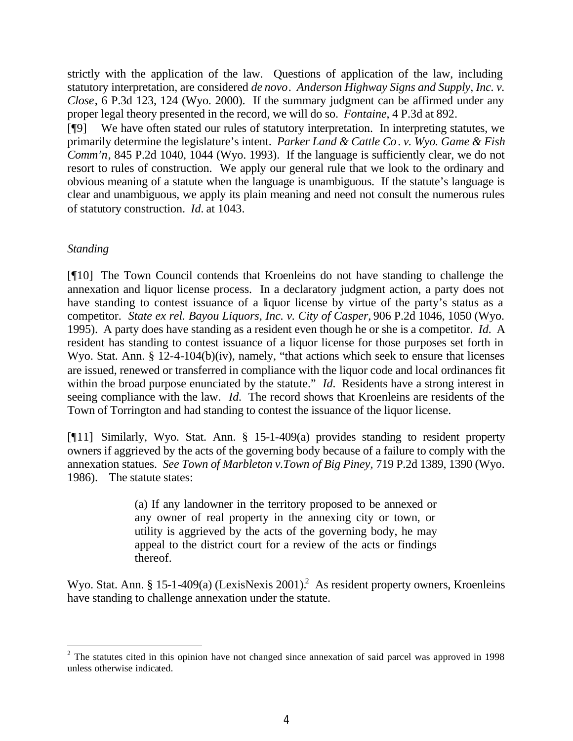strictly with the application of the law. Questions of application of the law, including statutory interpretation, are considered *de novo*. *Anderson Highway Signs and Supply, Inc. v. Close*, 6 P.3d 123, 124 (Wyo. 2000). If the summary judgment can be affirmed under any proper legal theory presented in the record, we will do so. *Fontaine*, 4 P.3d at 892.

[¶9] We have often stated our rules of statutory interpretation. In interpreting statutes, we primarily determine the legislature's intent. *Parker Land & Cattle Co*. *v. Wyo. Game & Fish Comm'n*, 845 P.2d 1040, 1044 (Wyo. 1993). If the language is sufficiently clear, we do not resort to rules of construction. We apply our general rule that we look to the ordinary and obvious meaning of a statute when the language is unambiguous. If the statute's language is clear and unambiguous, we apply its plain meaning and need not consult the numerous rules of statutory construction. *Id.* at 1043.

## *Standing*

[¶10] The Town Council contends that Kroenleins do not have standing to challenge the annexation and liquor license process. In a declaratory judgment action, a party does not have standing to contest issuance of a liquor license by virtue of the party's status as a competitor. *State ex rel. Bayou Liquors, Inc. v. City of Casper,* 906 P.2d 1046, 1050 (Wyo. 1995). A party does have standing as a resident even though he or she is a competitor. *Id.* A resident has standing to contest issuance of a liquor license for those purposes set forth in Wyo. Stat. Ann. § 12-4-104(b)(iv), namely, "that actions which seek to ensure that licenses are issued, renewed or transferred in compliance with the liquor code and local ordinances fit within the broad purpose enunciated by the statute." *Id.* Residents have a strong interest in seeing compliance with the law. *Id.* The record shows that Kroenleins are residents of the Town of Torrington and had standing to contest the issuance of the liquor license.

[¶11] Similarly, Wyo. Stat. Ann. § 15-1-409(a) provides standing to resident property owners if aggrieved by the acts of the governing body because of a failure to comply with the annexation statues. *See Town of Marbleton v.Town of Big Piney,* 719 P.2d 1389, 1390 (Wyo. 1986). The statute states:

> (a) If any landowner in the territory proposed to be annexed or any owner of real property in the annexing city or town, or utility is aggrieved by the acts of the governing body, he may appeal to the district court for a review of the acts or findings thereof.

Wyo. Stat. Ann. § 15-1-409(a) (LexisNexis 2001).<sup>2</sup> As resident property owners, Kroenleins have standing to challenge annexation under the statute.

 $2$  The statutes cited in this opinion have not changed since annexation of said parcel was approved in 1998 unless otherwise indicated.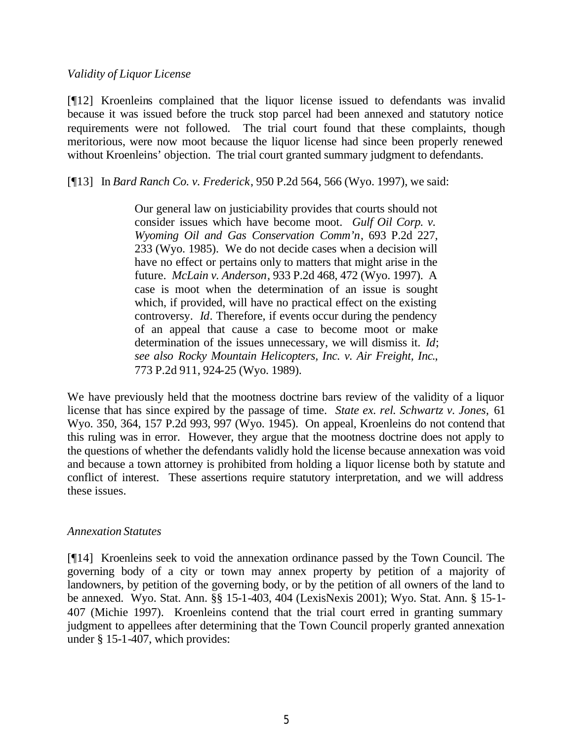### *Validity of Liquor License*

[¶12] Kroenleins complained that the liquor license issued to defendants was invalid because it was issued before the truck stop parcel had been annexed and statutory notice requirements were not followed. The trial court found that these complaints, though meritorious, were now moot because the liquor license had since been properly renewed without Kroenleins' objection. The trial court granted summary judgment to defendants.

[¶13] In *Bard Ranch Co. v. Frederick*, 950 P.2d 564, 566 (Wyo. 1997), we said:

Our general law on justiciability provides that courts should not consider issues which have become moot. *Gulf Oil Corp. v. Wyoming Oil and Gas Conservation Comm'n*, 693 P.2d 227, 233 (Wyo. 1985). We do not decide cases when a decision will have no effect or pertains only to matters that might arise in the future. *McLain v. Anderson*, 933 P.2d 468, 472 (Wyo. 1997). A case is moot when the determination of an issue is sought which, if provided, will have no practical effect on the existing controversy. *Id*. Therefore, if events occur during the pendency of an appeal that cause a case to become moot or make determination of the issues unnecessary, we will dismiss it. *Id*; *see also Rocky Mountain Helicopters, Inc. v. Air Freight, Inc*., 773 P.2d 911, 924-25 (Wyo. 1989).

We have previously held that the mootness doctrine bars review of the validity of a liquor license that has since expired by the passage of time. *State ex. rel. Schwartz v. Jones,* 61 Wyo. 350, 364, 157 P.2d 993, 997 (Wyo. 1945). On appeal, Kroenleins do not contend that this ruling was in error. However, they argue that the mootness doctrine does not apply to the questions of whether the defendants validly hold the license because annexation was void and because a town attorney is prohibited from holding a liquor license both by statute and conflict of interest. These assertions require statutory interpretation, and we will address these issues.

#### *Annexation Statutes*

[¶14] Kroenleins seek to void the annexation ordinance passed by the Town Council. The governing body of a city or town may annex property by petition of a majority of landowners, by petition of the governing body, or by the petition of all owners of the land to be annexed. Wyo. Stat. Ann. §§ 15-1-403, 404 (LexisNexis 2001); Wyo. Stat. Ann. § 15-1- 407 (Michie 1997). Kroenleins contend that the trial court erred in granting summary judgment to appellees after determining that the Town Council properly granted annexation under § 15-1-407, which provides: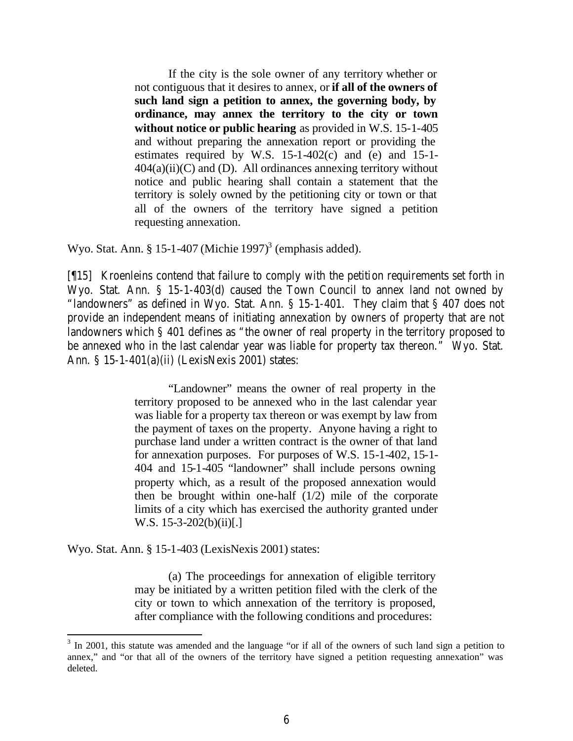If the city is the sole owner of any territory whether or not contiguous that it desires to annex, or **if all of the owners of such land sign a petition to annex, the governing body, by ordinance, may annex the territory to the city or town without notice or public hearing** as provided in W.S. 15-1-405 and without preparing the annexation report or providing the estimates required by W.S.  $15-1-402(c)$  and  $(e)$  and  $15-1 404(a)(ii)(C)$  and (D). All ordinances annexing territory without notice and public hearing shall contain a statement that the territory is solely owned by the petitioning city or town or that all of the owners of the territory have signed a petition requesting annexation.

Wyo. Stat. Ann. § 15-1-407 (Michie 1997)<sup>3</sup> (emphasis added).

[¶15] Kroenleins contend that failure to comply with the petition requirements set forth in Wyo. Stat. Ann. § 15-1-403(d) caused the Town Council to annex land not owned by "landowners" as defined in Wyo. Stat. Ann. § 15-1-401. They claim that § 407 does not provide an independent means of initiating annexation by owners of property that are not landowners which § 401 defines as "the owner of real property in the territory proposed to be annexed who in the last calendar year was liable for property tax thereon." Wyo. Stat. Ann. § 15-1-401(a)(ii) (LexisNexis 2001) states:

> "Landowner" means the owner of real property in the territory proposed to be annexed who in the last calendar year was liable for a property tax thereon or was exempt by law from the payment of taxes on the property. Anyone having a right to purchase land under a written contract is the owner of that land for annexation purposes. For purposes of W.S. 15-1-402, 15-1- 404 and 15-1-405 "landowner" shall include persons owning property which, as a result of the proposed annexation would then be brought within one-half (1/2) mile of the corporate limits of a city which has exercised the authority granted under W.S.  $15-3-202(b)(ii)$ [.]

Wyo. Stat. Ann. § 15-1-403 (LexisNexis 2001) states:

(a) The proceedings for annexation of eligible territory may be initiated by a written petition filed with the clerk of the city or town to which annexation of the territory is proposed, after compliance with the following conditions and procedures:

 $3 \text{ In } 2001$ , this statute was amended and the language "or if all of the owners of such land sign a petition to annex," and "or that all of the owners of the territory have signed a petition requesting annexation" was deleted.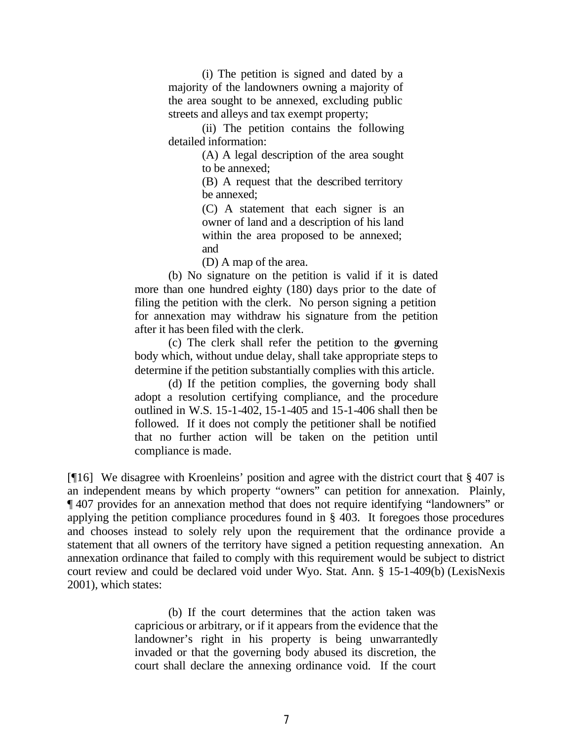(i) The petition is signed and dated by a majority of the landowners owning a majority of the area sought to be annexed, excluding public streets and alleys and tax exempt property;

(ii) The petition contains the following detailed information:

> (A) A legal description of the area sought to be annexed;

> (B) A request that the described territory be annexed;

> (C) A statement that each signer is an owner of land and a description of his land within the area proposed to be annexed; and

(D) A map of the area.

(b) No signature on the petition is valid if it is dated more than one hundred eighty (180) days prior to the date of filing the petition with the clerk. No person signing a petition for annexation may withdraw his signature from the petition after it has been filed with the clerk.

(c) The clerk shall refer the petition to the governing body which, without undue delay, shall take appropriate steps to determine if the petition substantially complies with this article.

(d) If the petition complies, the governing body shall adopt a resolution certifying compliance, and the procedure outlined in W.S. 15-1-402, 15-1-405 and 15-1-406 shall then be followed. If it does not comply the petitioner shall be notified that no further action will be taken on the petition until compliance is made.

[¶16] We disagree with Kroenleins' position and agree with the district court that § 407 is an independent means by which property "owners" can petition for annexation. Plainly, ¶ 407 provides for an annexation method that does not require identifying "landowners" or applying the petition compliance procedures found in § 403. It foregoes those procedures and chooses instead to solely rely upon the requirement that the ordinance provide a statement that all owners of the territory have signed a petition requesting annexation. An annexation ordinance that failed to comply with this requirement would be subject to district court review and could be declared void under Wyo. Stat. Ann. § 15-1-409(b) (LexisNexis 2001), which states:

> (b) If the court determines that the action taken was capricious or arbitrary, or if it appears from the evidence that the landowner's right in his property is being unwarrantedly invaded or that the governing body abused its discretion, the court shall declare the annexing ordinance void. If the court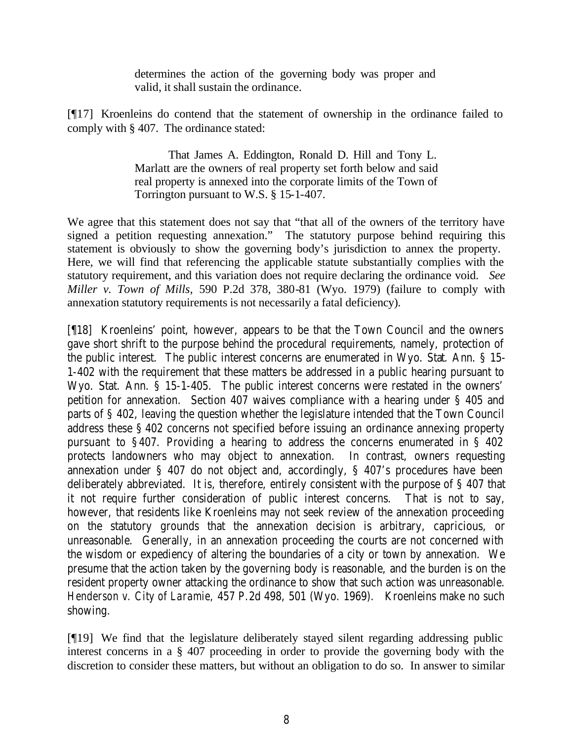determines the action of the governing body was proper and valid, it shall sustain the ordinance.

[¶17] Kroenleins do contend that the statement of ownership in the ordinance failed to comply with § 407. The ordinance stated:

> That James A. Eddington, Ronald D. Hill and Tony L. Marlatt are the owners of real property set forth below and said real property is annexed into the corporate limits of the Town of Torrington pursuant to W.S. § 15-1-407.

We agree that this statement does not say that "that all of the owners of the territory have signed a petition requesting annexation." The statutory purpose behind requiring this statement is obviously to show the governing body's jurisdiction to annex the property. Here, we will find that referencing the applicable statute substantially complies with the statutory requirement, and this variation does not require declaring the ordinance void. *See Miller v. Town of Mills,* 590 P.2d 378, 380-81 (Wyo. 1979) (failure to comply with annexation statutory requirements is not necessarily a fatal deficiency).

[¶18] Kroenleins' point, however, appears to be that the Town Council and the owners gave short shrift to the purpose behind the procedural requirements, namely, protection of the public interest. The public interest concerns are enumerated in Wyo. Stat. Ann. § 15- 1-402 with the requirement that these matters be addressed in a public hearing pursuant to Wyo. Stat. Ann. § 15-1-405. The public interest concerns were restated in the owners' petition for annexation. Section 407 waives compliance with a hearing under § 405 and parts of § 402, leaving the question whether the legislature intended that the Town Council address these § 402 concerns not specified before issuing an ordinance annexing property pursuant to §407. Providing a hearing to address the concerns enumerated in § 402 protects landowners who may object to annexation. In contrast, owners requesting annexation under § 407 do not object and, accordingly, § 407's procedures have been deliberately abbreviated. It is, therefore, entirely consistent with the purpose of § 407 that it not require further consideration of public interest concerns. That is not to say, however, that residents like Kroenleins may not seek review of the annexation proceeding on the statutory grounds that the annexation decision is arbitrary, capricious, or unreasonable. Generally, in an annexation proceeding the courts are not concerned with the wisdom or expediency of altering the boundaries of a city or town by annexation. We presume that the action taken by the governing body is reasonable, and the burden is on the resident property owner attacking the ordinance to show that such action was unreasonable. *Henderson v. City of Laramie,* 457 P.2d 498, 501 (Wyo. 1969). Kroenleins make no such showing.

[¶19] We find that the legislature deliberately stayed silent regarding addressing public interest concerns in a § 407 proceeding in order to provide the governing body with the discretion to consider these matters, but without an obligation to do so. In answer to similar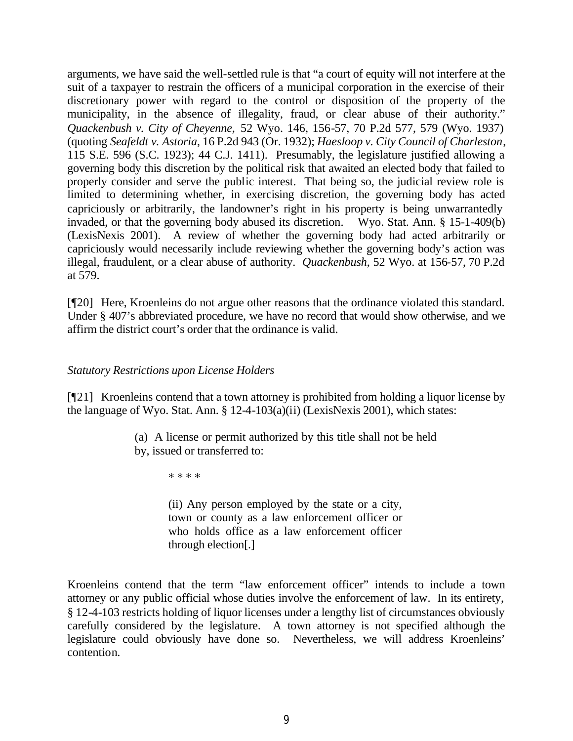arguments, we have said the well-settled rule is that "a court of equity will not interfere at the suit of a taxpayer to restrain the officers of a municipal corporation in the exercise of their discretionary power with regard to the control or disposition of the property of the municipality, in the absence of illegality, fraud, or clear abuse of their authority." *Quackenbush v. City of Cheyenne,* 52 Wyo. 146, 156-57, 70 P.2d 577, 579 (Wyo. 1937) (quoting *Seafeldt v. Astoria*, 16 P.2d 943 (Or. 1932); *Haesloop v. City Council of Charleston*, 115 S.E. 596 (S.C. 1923); 44 C.J. 1411). Presumably, the legislature justified allowing a governing body this discretion by the political risk that awaited an elected body that failed to properly consider and serve the public interest. That being so, the judicial review role is limited to determining whether, in exercising discretion, the governing body has acted capriciously or arbitrarily, the landowner's right in his property is being unwarrantedly invaded, or that the governing body abused its discretion. Wyo. Stat. Ann. § 15-1-409(b) (LexisNexis 2001). A review of whether the governing body had acted arbitrarily or capriciously would necessarily include reviewing whether the governing body's action was illegal, fraudulent, or a clear abuse of authority. *Quackenbush*, 52 Wyo. at 156-57, 70 P.2d at 579.

[¶20] Here, Kroenleins do not argue other reasons that the ordinance violated this standard. Under § 407's abbreviated procedure, we have no record that would show otherwise, and we affirm the district court's order that the ordinance is valid.

### *Statutory Restrictions upon License Holders*

[¶21] Kroenleins contend that a town attorney is prohibited from holding a liquor license by the language of Wyo. Stat. Ann. § 12-4-103(a)(ii) (LexisNexis 2001), which states:

> (a) A license or permit authorized by this title shall not be held by, issued or transferred to:

> > \* \* \* \*

(ii) Any person employed by the state or a city, town or county as a law enforcement officer or who holds office as a law enforcement officer through election[.]

Kroenleins contend that the term "law enforcement officer" intends to include a town attorney or any public official whose duties involve the enforcement of law. In its entirety, § 12-4-103 restricts holding of liquor licenses under a lengthy list of circumstances obviously carefully considered by the legislature. A town attorney is not specified although the legislature could obviously have done so. Nevertheless, we will address Kroenleins' contention.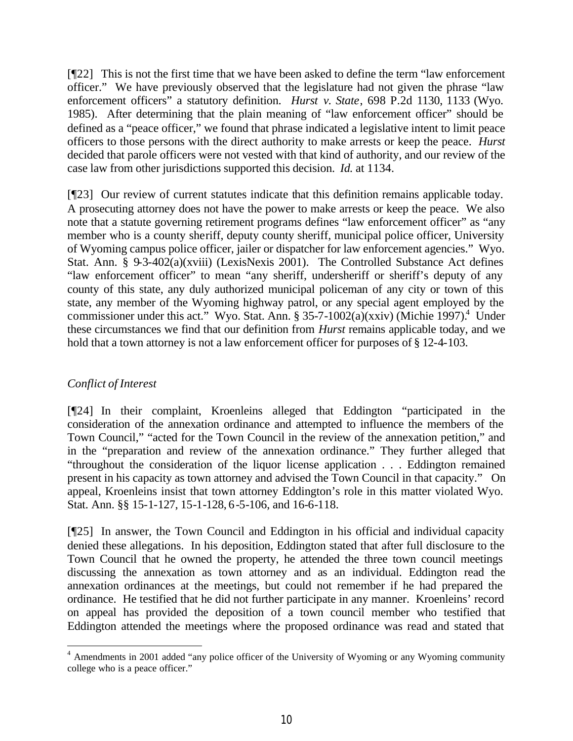[¶22] This is not the first time that we have been asked to define the term "law enforcement officer." We have previously observed that the legislature had not given the phrase "law enforcement officers" a statutory definition. *Hurst v. State*, 698 P.2d 1130, 1133 (Wyo. 1985). After determining that the plain meaning of "law enforcement officer" should be defined as a "peace officer," we found that phrase indicated a legislative intent to limit peace officers to those persons with the direct authority to make arrests or keep the peace. *Hurst* decided that parole officers were not vested with that kind of authority, and our review of the case law from other jurisdictions supported this decision. *Id.* at 1134.

[¶23] Our review of current statutes indicate that this definition remains applicable today. A prosecuting attorney does not have the power to make arrests or keep the peace. We also note that a statute governing retirement programs defines "law enforcement officer" as "any member who is a county sheriff, deputy county sheriff, municipal police officer, University of Wyoming campus police officer, jailer or dispatcher for law enforcement agencies." Wyo. Stat. Ann. § 9-3-402(a)(xviii) (LexisNexis 2001). The Controlled Substance Act defines "law enforcement officer" to mean "any sheriff, undersheriff or sheriff's deputy of any county of this state, any duly authorized municipal policeman of any city or town of this state, any member of the Wyoming highway patrol, or any special agent employed by the commissioner under this act." Wyo. Stat. Ann. § 35-7-1002(a)(xxiv) (Michie 1997).<sup>4</sup> Under these circumstances we find that our definition from *Hurst* remains applicable today, and we hold that a town attorney is not a law enforcement officer for purposes of § 12-4-103.

## *Conflict of Interest*

[¶24] In their complaint, Kroenleins alleged that Eddington "participated in the consideration of the annexation ordinance and attempted to influence the members of the Town Council," "acted for the Town Council in the review of the annexation petition," and in the "preparation and review of the annexation ordinance." They further alleged that "throughout the consideration of the liquor license application . . . Eddington remained present in his capacity as town attorney and advised the Town Council in that capacity." On appeal, Kroenleins insist that town attorney Eddington's role in this matter violated Wyo. Stat. Ann. §§ 15-1-127, 15-1-128, 6-5-106, and 16-6-118.

[¶25] In answer, the Town Council and Eddington in his official and individual capacity denied these allegations. In his deposition, Eddington stated that after full disclosure to the Town Council that he owned the property, he attended the three town council meetings discussing the annexation as town attorney and as an individual. Eddington read the annexation ordinances at the meetings, but could not remember if he had prepared the ordinance. He testified that he did not further participate in any manner. Kroenleins' record on appeal has provided the deposition of a town council member who testified that Eddington attended the meetings where the proposed ordinance was read and stated that

 <sup>4</sup> Amendments in 2001 added "any police officer of the University of Wyoming or any Wyoming community college who is a peace officer."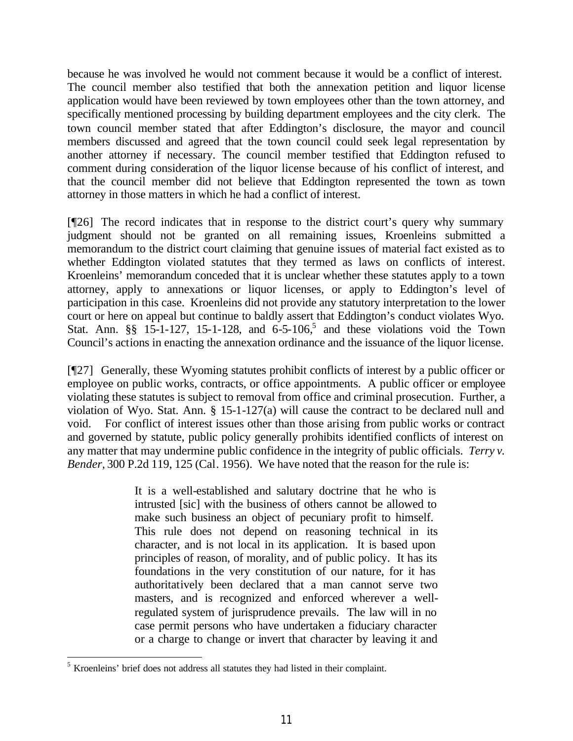because he was involved he would not comment because it would be a conflict of interest. The council member also testified that both the annexation petition and liquor license application would have been reviewed by town employees other than the town attorney, and specifically mentioned processing by building department employees and the city clerk. The town council member stated that after Eddington's disclosure, the mayor and council members discussed and agreed that the town council could seek legal representation by another attorney if necessary. The council member testified that Eddington refused to comment during consideration of the liquor license because of his conflict of interest, and that the council member did not believe that Eddington represented the town as town attorney in those matters in which he had a conflict of interest.

[¶26] The record indicates that in response to the district court's query why summary judgment should not be granted on all remaining issues, Kroenleins submitted a memorandum to the district court claiming that genuine issues of material fact existed as to whether Eddington violated statutes that they termed as laws on conflicts of interest. Kroenleins' memorandum conceded that it is unclear whether these statutes apply to a town attorney, apply to annexations or liquor licenses, or apply to Eddington's level of participation in this case. Kroenleins did not provide any statutory interpretation to the lower court or here on appeal but continue to baldly assert that Eddington's conduct violates Wyo. Stat. Ann.  $\S\S$  15-1-127, 15-1-128, and 6-5-106,<sup>5</sup> and these violations void the Town Council's actions in enacting the annexation ordinance and the issuance of the liquor license.

[¶27] Generally, these Wyoming statutes prohibit conflicts of interest by a public officer or employee on public works, contracts, or office appointments. A public officer or employee violating these statutes is subject to removal from office and criminal prosecution. Further, a violation of Wyo. Stat. Ann. § 15-1-127(a) will cause the contract to be declared null and void. For conflict of interest issues other than those arising from public works or contract and governed by statute, public policy generally prohibits identified conflicts of interest on any matter that may undermine public confidence in the integrity of public officials. *Terry v. Bender,* 300 P.2d 119, 125 (Cal. 1956). We have noted that the reason for the rule is:

> It is a well-established and salutary doctrine that he who is intrusted [sic] with the business of others cannot be allowed to make such business an object of pecuniary profit to himself. This rule does not depend on reasoning technical in its character, and is not local in its application. It is based upon principles of reason, of morality, and of public policy. It has its foundations in the very constitution of our nature, for it has authoritatively been declared that a man cannot serve two masters, and is recognized and enforced wherever a wellregulated system of jurisprudence prevails. The law will in no case permit persons who have undertaken a fiduciary character or a charge to change or invert that character by leaving it and

<sup>&</sup>lt;sup>5</sup> Kroenleins' brief does not address all statutes they had listed in their complaint.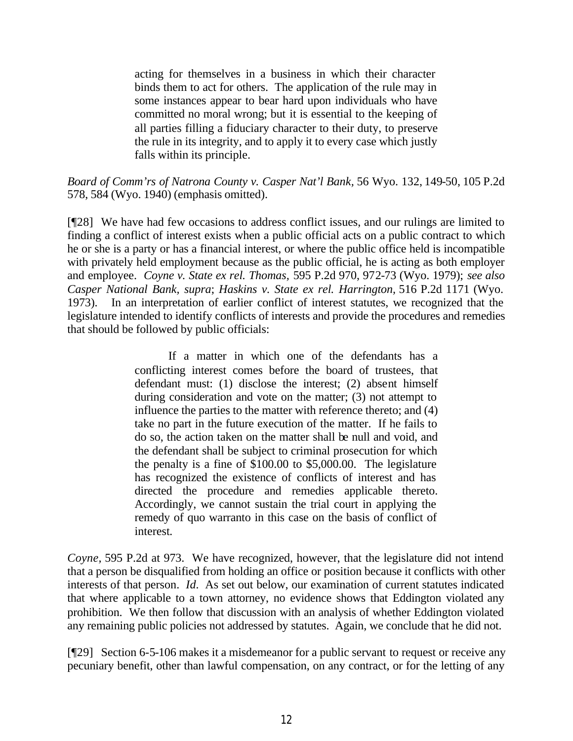acting for themselves in a business in which their character binds them to act for others. The application of the rule may in some instances appear to bear hard upon individuals who have committed no moral wrong; but it is essential to the keeping of all parties filling a fiduciary character to their duty, to preserve the rule in its integrity, and to apply it to every case which justly falls within its principle.

*Board of Comm'rs of Natrona County v. Casper Nat'l Bank,* 56 Wyo. 132, 149-50, 105 P.2d 578, 584 (Wyo. 1940) (emphasis omitted).

[¶28] We have had few occasions to address conflict issues, and our rulings are limited to finding a conflict of interest exists when a public official acts on a public contract to which he or she is a party or has a financial interest, or where the public office held is incompatible with privately held employment because as the public official, he is acting as both employer and employee. *Coyne v. State ex rel. Thomas,* 595 P.2d 970, 972-73 (Wyo. 1979); *see also Casper National Bank, supra*; *Haskins v. State ex rel. Harrington,* 516 P.2d 1171 (Wyo. 1973). In an interpretation of earlier conflict of interest statutes, we recognized that the legislature intended to identify conflicts of interests and provide the procedures and remedies that should be followed by public officials:

> If a matter in which one of the defendants has a conflicting interest comes before the board of trustees, that defendant must: (1) disclose the interest; (2) absent himself during consideration and vote on the matter; (3) not attempt to influence the parties to the matter with reference thereto; and (4) take no part in the future execution of the matter. If he fails to do so, the action taken on the matter shall be null and void, and the defendant shall be subject to criminal prosecution for which the penalty is a fine of \$100.00 to \$5,000.00. The legislature has recognized the existence of conflicts of interest and has directed the procedure and remedies applicable thereto. Accordingly, we cannot sustain the trial court in applying the remedy of quo warranto in this case on the basis of conflict of interest*.*

*Coyne,* 595 P.2d at 973. We have recognized, however, that the legislature did not intend that a person be disqualified from holding an office or position because it conflicts with other interests of that person. *Id.* As set out below, our examination of current statutes indicated that where applicable to a town attorney, no evidence shows that Eddington violated any prohibition. We then follow that discussion with an analysis of whether Eddington violated any remaining public policies not addressed by statutes. Again, we conclude that he did not.

[¶29] Section 6-5-106 makes it a misdemeanor for a public servant to request or receive any pecuniary benefit, other than lawful compensation, on any contract, or for the letting of any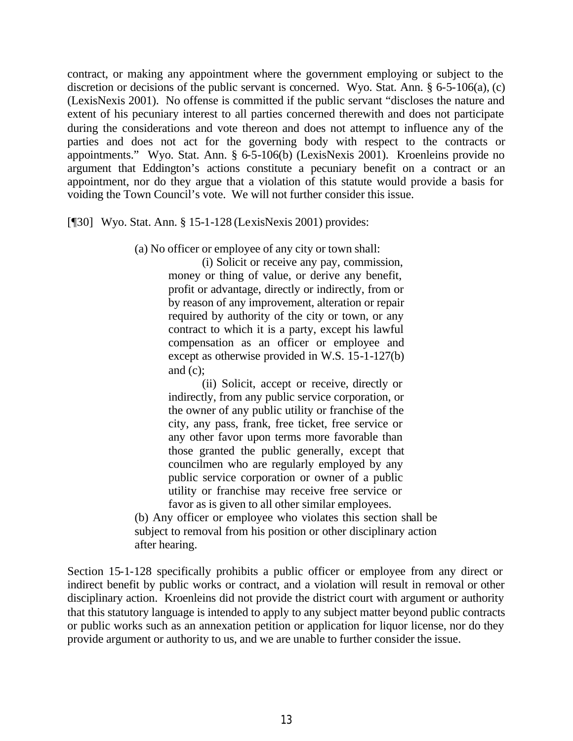contract, or making any appointment where the government employing or subject to the discretion or decisions of the public servant is concerned. Wyo. Stat. Ann. § 6-5-106(a), (c) (LexisNexis 2001). No offense is committed if the public servant "discloses the nature and extent of his pecuniary interest to all parties concerned therewith and does not participate during the considerations and vote thereon and does not attempt to influence any of the parties and does not act for the governing body with respect to the contracts or appointments." Wyo. Stat. Ann. § 6-5-106(b) (LexisNexis 2001). Kroenleins provide no argument that Eddington's actions constitute a pecuniary benefit on a contract or an appointment, nor do they argue that a violation of this statute would provide a basis for voiding the Town Council's vote. We will not further consider this issue.

[¶30] Wyo. Stat. Ann. § 15-1-128 (LexisNexis 2001) provides:

(a) No officer or employee of any city or town shall:

(i) Solicit or receive any pay, commission, money or thing of value, or derive any benefit, profit or advantage, directly or indirectly, from or by reason of any improvement, alteration or repair required by authority of the city or town, or any contract to which it is a party, except his lawful compensation as an officer or employee and except as otherwise provided in W.S. 15-1-127(b) and (c);

(ii) Solicit, accept or receive, directly or indirectly, from any public service corporation, or the owner of any public utility or franchise of the city, any pass, frank, free ticket, free service or any other favor upon terms more favorable than those granted the public generally, except that councilmen who are regularly employed by any public service corporation or owner of a public utility or franchise may receive free service or favor as is given to all other similar employees.

(b) Any officer or employee who violates this section shall be subject to removal from his position or other disciplinary action after hearing.

Section 15-1-128 specifically prohibits a public officer or employee from any direct or indirect benefit by public works or contract, and a violation will result in removal or other disciplinary action. Kroenleins did not provide the district court with argument or authority that this statutory language is intended to apply to any subject matter beyond public contracts or public works such as an annexation petition or application for liquor license, nor do they provide argument or authority to us, and we are unable to further consider the issue.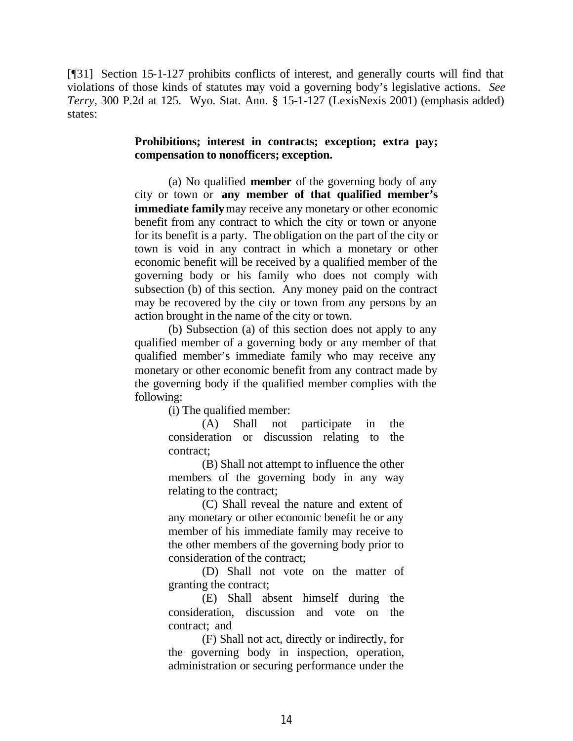[¶31] Section 15-1-127 prohibits conflicts of interest, and generally courts will find that violations of those kinds of statutes may void a governing body's legislative actions. *See Terry,* 300 P.2d at 125. Wyo. Stat. Ann. § 15-1-127 (LexisNexis 2001) (emphasis added) states:

#### **Prohibitions; interest in contracts; exception; extra pay; compensation to nonofficers; exception.**

(a) No qualified **member** of the governing body of any city or town or **any member of that qualified member's immediate family** may receive any monetary or other economic benefit from any contract to which the city or town or anyone for its benefit is a party. The obligation on the part of the city or town is void in any contract in which a monetary or other economic benefit will be received by a qualified member of the governing body or his family who does not comply with subsection (b) of this section. Any money paid on the contract may be recovered by the city or town from any persons by an action brought in the name of the city or town.

(b) Subsection (a) of this section does not apply to any qualified member of a governing body or any member of that qualified member's immediate family who may receive any monetary or other economic benefit from any contract made by the governing body if the qualified member complies with the following:

(i) The qualified member:

(A) Shall not participate in the consideration or discussion relating to the contract;

(B) Shall not attempt to influence the other members of the governing body in any way relating to the contract;

(C) Shall reveal the nature and extent of any monetary or other economic benefit he or any member of his immediate family may receive to the other members of the governing body prior to consideration of the contract;

(D) Shall not vote on the matter of granting the contract;

(E) Shall absent himself during the consideration, discussion and vote on the contract; and

(F) Shall not act, directly or indirectly, for the governing body in inspection, operation, administration or securing performance under the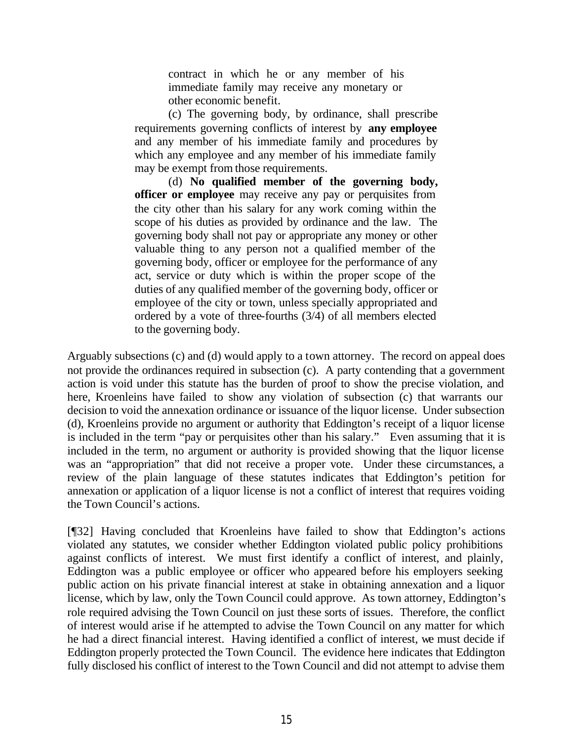contract in which he or any member of his immediate family may receive any monetary or other economic benefit.

(c) The governing body, by ordinance, shall prescribe requirements governing conflicts of interest by **any employee**  and any member of his immediate family and procedures by which any employee and any member of his immediate family may be exempt from those requirements.

(d) **No qualified member of the governing body, officer or employee** may receive any pay or perquisites from the city other than his salary for any work coming within the scope of his duties as provided by ordinance and the law. The governing body shall not pay or appropriate any money or other valuable thing to any person not a qualified member of the governing body, officer or employee for the performance of any act, service or duty which is within the proper scope of the duties of any qualified member of the governing body, officer or employee of the city or town, unless specially appropriated and ordered by a vote of three-fourths (3/4) of all members elected to the governing body.

Arguably subsections (c) and (d) would apply to a town attorney. The record on appeal does not provide the ordinances required in subsection (c). A party contending that a government action is void under this statute has the burden of proof to show the precise violation, and here, Kroenleins have failed to show any violation of subsection (c) that warrants our decision to void the annexation ordinance or issuance of the liquor license. Under subsection (d), Kroenleins provide no argument or authority that Eddington's receipt of a liquor license is included in the term "pay or perquisites other than his salary." Even assuming that it is included in the term, no argument or authority is provided showing that the liquor license was an "appropriation" that did not receive a proper vote. Under these circumstances, a review of the plain language of these statutes indicates that Eddington's petition for annexation or application of a liquor license is not a conflict of interest that requires voiding the Town Council's actions.

[¶32] Having concluded that Kroenleins have failed to show that Eddington's actions violated any statutes, we consider whether Eddington violated public policy prohibitions against conflicts of interest. We must first identify a conflict of interest, and plainly, Eddington was a public employee or officer who appeared before his employers seeking public action on his private financial interest at stake in obtaining annexation and a liquor license, which by law, only the Town Council could approve. As town attorney, Eddington's role required advising the Town Council on just these sorts of issues. Therefore, the conflict of interest would arise if he attempted to advise the Town Council on any matter for which he had a direct financial interest. Having identified a conflict of interest, we must decide if Eddington properly protected the Town Council. The evidence here indicates that Eddington fully disclosed his conflict of interest to the Town Council and did not attempt to advise them